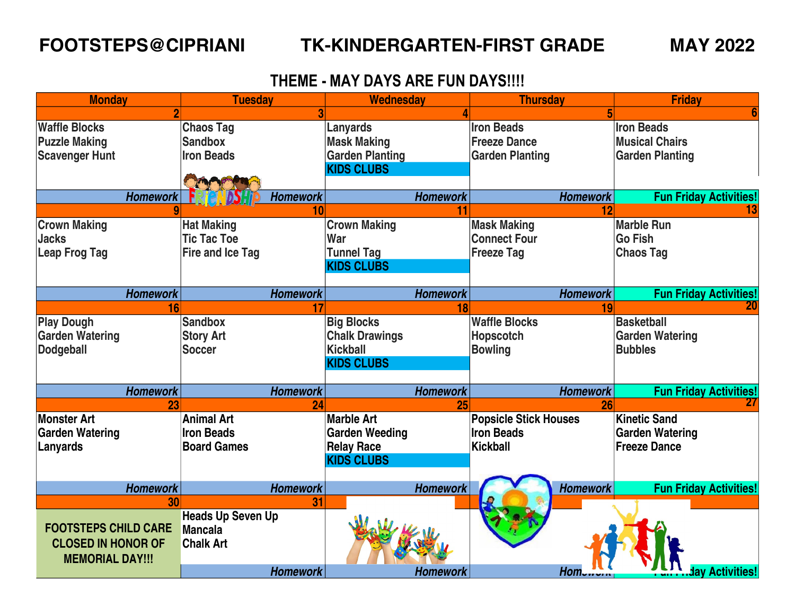### **FOOTSTEPS@CIPRIANI TK-KINDERGARTEN-FIRST GRADE MAY 2022**

## **THEME - MAY DAYS ARE FUN DAYS!!!!**

| <b>Monday</b>               | <b>Tuesday</b>           | <b>Wednesday</b>       | <b>Thursday</b>              | <b>Friday</b>                 |
|-----------------------------|--------------------------|------------------------|------------------------------|-------------------------------|
|                             |                          |                        |                              |                               |
| <b>Waffle Blocks</b>        | <b>Chaos Tag</b>         | Lanyards               | <b>Iron Beads</b>            | <b>Iron Beads</b>             |
| <b>Puzzle Making</b>        | <b>Sandbox</b>           | <b>Mask Making</b>     | <b>Freeze Dance</b>          | <b>Musical Chairs</b>         |
| <b>Scavenger Hunt</b>       | <b>Iron Beads</b>        | <b>Garden Planting</b> | <b>Garden Planting</b>       | <b>Garden Planting</b>        |
|                             |                          | <b>KIDS CLUBS</b>      |                              |                               |
|                             |                          |                        |                              |                               |
| <b>Homework</b>             | <b>Homework</b>          | <b>Homework</b>        | <b>Homework</b>              | <b>Fun Friday Activities!</b> |
|                             | 10                       |                        | 12                           |                               |
| <b>Crown Making</b>         | <b>Hat Making</b>        | <b>Crown Making</b>    | <b>Mask Making</b>           | <b>Marble Run</b>             |
| <b>Jacks</b>                | <b>Tic Tac Toe</b>       | War                    | <b>Connect Four</b>          | <b>Go Fish</b>                |
| <b>Leap Frog Tag</b>        | <b>Fire and Ice Tag</b>  | <b>Tunnel Tag</b>      | <b>Freeze Tag</b>            | <b>Chaos Tag</b>              |
|                             |                          | <b>KIDS CLUBS</b>      |                              |                               |
|                             |                          |                        |                              |                               |
| <b>Homework</b>             | <b>Homework</b>          | <b>Homework</b>        | <b>Homework</b>              | <b>Fun Friday Activities!</b> |
| 16                          |                          |                        |                              |                               |
| <b>Play Dough</b>           | <b>Sandbox</b>           | <b>Big Blocks</b>      | <b>Waffle Blocks</b>         | <b>Basketball</b>             |
| <b>Garden Watering</b>      | <b>Story Art</b>         | <b>Chalk Drawings</b>  | <b>Hopscotch</b>             | <b>Garden Watering</b>        |
| <b>Dodgeball</b>            | Soccer                   | <b>Kickball</b>        | <b>Bowling</b>               | <b>Bubbles</b>                |
|                             |                          | <b>KIDS CLUBS</b>      |                              |                               |
|                             |                          |                        |                              |                               |
| <b>Homework</b>             | <b>Homework</b>          | <b>Homework</b>        | <b>Homework</b>              | <b>Fun Friday Activities!</b> |
| 23                          | 24                       | 25                     | 26                           |                               |
| <b>Monster Art</b>          | <b>Animal Art</b>        | <b>Marble Art</b>      | <b>Popsicle Stick Houses</b> | <b>Kinetic Sand</b>           |
| <b>Garden Watering</b>      | <b>Iron Beads</b>        | Garden Weeding         | <b>Iron Beads</b>            | <b>Garden Watering</b>        |
| Lanyards                    | <b>Board Games</b>       | <b>Relay Race</b>      | <b>Kickball</b>              | <b>Freeze Dance</b>           |
|                             |                          | <b>KIDS CLUBS</b>      |                              |                               |
|                             |                          |                        |                              |                               |
| <b>Homework</b>             | <b>Homework</b>          | <b>Homework</b>        | <b>Homework</b>              | <b>Fun Friday Activities!</b> |
| 30                          | 31                       |                        |                              |                               |
|                             | <b>Heads Up Seven Up</b> |                        |                              |                               |
| <b>FOOTSTEPS CHILD CARE</b> | <b>Mancala</b>           |                        |                              |                               |
| <b>CLOSED IN HONOR OF</b>   | <b>Chalk Art</b>         |                        |                              |                               |
| <b>MEMORIAL DAY!!!</b>      |                          |                        |                              |                               |
|                             | <b>Homework</b>          | <b>Homework</b>        | Hom                          | av Activities!                |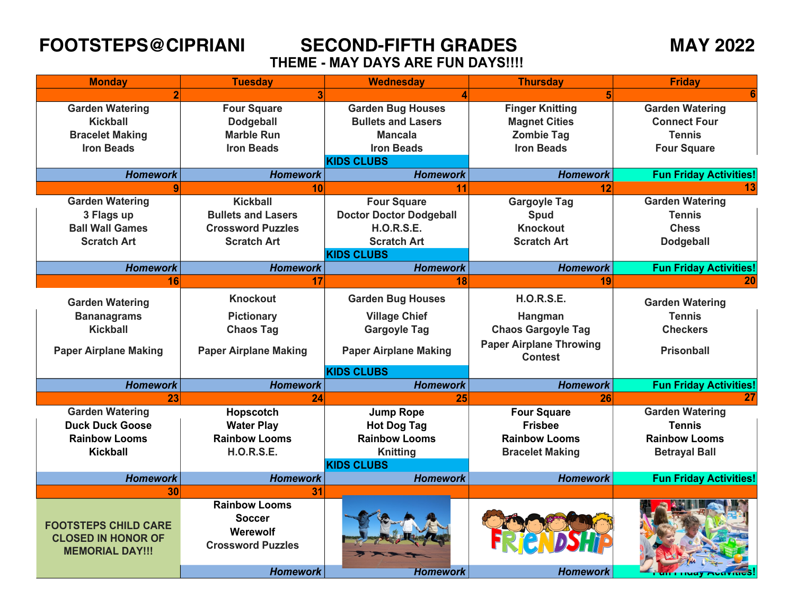**FOOTSTEPS@CIPRIANI SECOND-FIFTH GRADES MAY 2022 THEME - MAY DAYS ARE FUN DAYS!!!!** 

| <b>Monday</b>                                                                      | <b>Tuesday</b>                                                                | <b>Wednesday</b>               | <b>Thursday</b>                                  | <b>Friday</b>                 |
|------------------------------------------------------------------------------------|-------------------------------------------------------------------------------|--------------------------------|--------------------------------------------------|-------------------------------|
|                                                                                    |                                                                               |                                |                                                  |                               |
| <b>Garden Watering</b>                                                             | <b>Four Square</b>                                                            | <b>Garden Bug Houses</b>       | <b>Finger Knitting</b>                           | <b>Garden Watering</b>        |
| Kickball                                                                           | <b>Dodgeball</b>                                                              | <b>Bullets and Lasers</b>      | <b>Magnet Cities</b>                             | <b>Connect Four</b>           |
| <b>Bracelet Making</b>                                                             | <b>Marble Run</b>                                                             | <b>Mancala</b>                 | <b>Zombie Tag</b>                                | <b>Tennis</b>                 |
| <b>Iron Beads</b>                                                                  | <b>Iron Beads</b>                                                             | <b>Iron Beads</b>              | <b>Iron Beads</b>                                | <b>Four Square</b>            |
|                                                                                    |                                                                               | <b>KIDS CLUBS</b>              |                                                  |                               |
| <b>Homework</b>                                                                    | <b>Homework</b>                                                               | <b>Homework</b>                | <b>Homework</b>                                  | <b>Fun Friday Activities!</b> |
|                                                                                    | 10                                                                            | 11                             | 12                                               |                               |
| <b>Garden Watering</b>                                                             | <b>Kickball</b>                                                               | <b>Four Square</b>             | <b>Gargoyle Tag</b>                              | <b>Garden Watering</b>        |
| 3 Flags up                                                                         | <b>Bullets and Lasers</b>                                                     | <b>Doctor Doctor Dodgeball</b> | Spud                                             | <b>Tennis</b>                 |
| <b>Ball Wall Games</b>                                                             | <b>Crossword Puzzles</b>                                                      | <b>H.O.R.S.E.</b>              | <b>Knockout</b>                                  | <b>Chess</b>                  |
| <b>Scratch Art</b>                                                                 | <b>Scratch Art</b>                                                            | <b>Scratch Art</b>             | <b>Scratch Art</b>                               | <b>Dodgeball</b>              |
|                                                                                    |                                                                               | <b>KIDS CLUBS</b>              |                                                  |                               |
| <b>Homework</b>                                                                    | <b>Homework</b>                                                               | <b>Homework</b>                | <b>Homework</b>                                  | <b>Fun Friday Activities!</b> |
| 16                                                                                 | 17                                                                            | 18                             | 19                                               | 20                            |
| <b>Garden Watering</b>                                                             | <b>Knockout</b>                                                               | <b>Garden Bug Houses</b>       | <b>H.O.R.S.E.</b>                                | <b>Garden Watering</b>        |
| <b>Bananagrams</b>                                                                 | <b>Pictionary</b>                                                             | <b>Village Chief</b>           | Hangman                                          | <b>Tennis</b>                 |
| <b>Kickball</b>                                                                    | <b>Chaos Tag</b>                                                              | <b>Gargoyle Tag</b>            | <b>Chaos Gargoyle Tag</b>                        | <b>Checkers</b>               |
| <b>Paper Airplane Making</b>                                                       | <b>Paper Airplane Making</b>                                                  | <b>Paper Airplane Making</b>   | <b>Paper Airplane Throwing</b><br><b>Contest</b> | <b>Prisonball</b>             |
|                                                                                    |                                                                               | <b>KIDS CLUBS</b>              |                                                  |                               |
| <b>Homework</b>                                                                    | <b>Homework</b>                                                               | <b>Homework</b>                | <b>Homework</b>                                  | <b>Fun Friday Activities!</b> |
| 23                                                                                 | 24                                                                            | 25                             | 26                                               | 27                            |
| <b>Garden Watering</b>                                                             | Hopscotch                                                                     | <b>Jump Rope</b>               | <b>Four Square</b>                               | <b>Garden Watering</b>        |
| <b>Duck Duck Goose</b>                                                             | <b>Water Play</b>                                                             | <b>Hot Dog Tag</b>             | <b>Frisbee</b>                                   | Tennis                        |
| <b>Rainbow Looms</b>                                                               | <b>Rainbow Looms</b>                                                          | <b>Rainbow Looms</b>           | <b>Rainbow Looms</b>                             | <b>Rainbow Looms</b>          |
| <b>Kickball</b>                                                                    | <b>H.O.R.S.E.</b>                                                             | <b>Knitting</b>                | <b>Bracelet Making</b>                           | <b>Betrayal Ball</b>          |
|                                                                                    |                                                                               | <b>KIDS CLUBS</b>              |                                                  |                               |
| <b>Homework</b>                                                                    | <b>Homework</b>                                                               | <b>Homework</b>                | <b>Homework</b>                                  | <b>Fun Friday Activities!</b> |
| 30                                                                                 | 31                                                                            |                                |                                                  |                               |
| <b>FOOTSTEPS CHILD CARE</b><br><b>CLOSED IN HONOR OF</b><br><b>MEMORIAL DAY!!!</b> | <b>Rainbow Looms</b><br><b>Soccer</b><br>Werewolf<br><b>Crossword Puzzles</b> |                                |                                                  |                               |
|                                                                                    | <b>Homework</b>                                                               | Homework                       | <b>Homework</b>                                  |                               |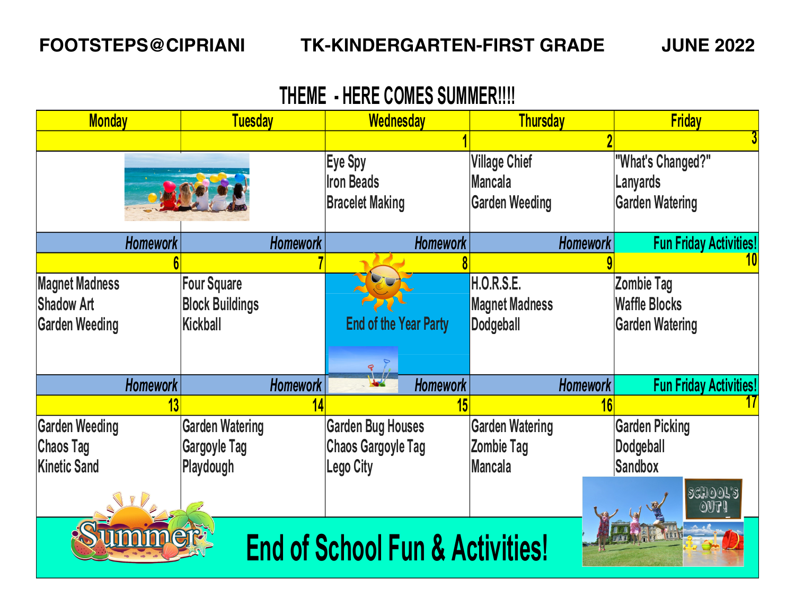# **THEME - HERE COMES SUMMER!!!!**

| <b>Monday</b>                              | <b>Tuesday</b>         | Wednesday                    | <b>Thursday</b>        | <b>Friday</b>                    |  |
|--------------------------------------------|------------------------|------------------------------|------------------------|----------------------------------|--|
|                                            |                        |                              |                        |                                  |  |
|                                            |                        | Eye Spy                      | <b>Village Chief</b>   | "What's Changed?"                |  |
|                                            |                        | <b>Iron Beads</b>            | <b>Mancala</b>         | <b>Lanyards</b>                  |  |
|                                            |                        | <b>Bracelet Making</b>       | <b>Garden Weeding</b>  | <b>Garden Watering</b>           |  |
|                                            |                        |                              |                        |                                  |  |
| <b>Homework</b>                            | <b>Homework</b>        | <b>Homework</b>              | <b>Homework</b>        | <b>Fun Friday Activities!</b>    |  |
|                                            |                        |                              |                        |                                  |  |
| <b>Magnet Madness</b>                      | <b>Four Square</b>     |                              | <b>H.O.R.S.E.</b>      | <b>Zombie Tag</b>                |  |
| <b>Shadow Art</b>                          | <b>Block Buildings</b> |                              | <b>Magnet Madness</b>  | <b>Waffle Blocks</b>             |  |
| <b>Garden Weeding</b>                      | Kickball               | <b>End of the Year Party</b> | <b>Dodgeball</b>       | <b>Garden Watering</b>           |  |
|                                            |                        |                              |                        |                                  |  |
|                                            |                        |                              |                        |                                  |  |
| <b>Homework</b>                            | <b>Homework</b>        | <b>Homework</b>              | <b>Homework</b>        | <b>Fun Friday Activities!</b>    |  |
|                                            |                        |                              |                        |                                  |  |
| <b>Garden Weeding</b>                      | <b>Garden Watering</b> | <b>Garden Bug Houses</b>     | <b>Garden Watering</b> | <b>Garden Picking</b>            |  |
| <b>Chaos Tag</b>                           | Gargoyle Tag           | <b>Chaos Gargoyle Tag</b>    | <b>Zombie Tag</b>      | Dodgeball                        |  |
| <b>Kinetic Sand</b>                        | Playdough              | <b>Lego City</b>             | <b>Mancala</b>         | <b>Sandbox</b>                   |  |
|                                            |                        |                              |                        | <b>SCHOOL'S</b>                  |  |
|                                            |                        |                              |                        | $\Diamond \mathbb{F} \mathbb{I}$ |  |
|                                            |                        |                              |                        |                                  |  |
| <b>End of School Fun &amp; Activities!</b> |                        |                              |                        |                                  |  |
|                                            |                        |                              |                        |                                  |  |